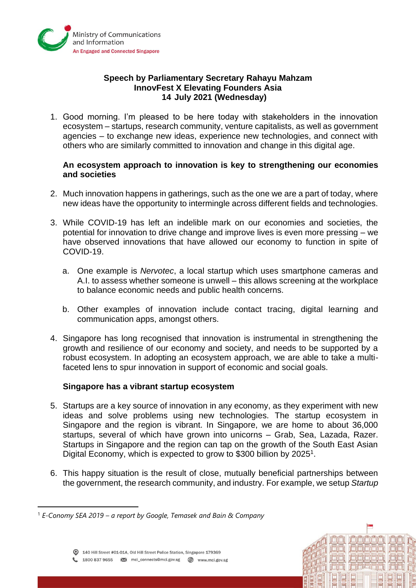

# **Speech by Parliamentary Secretary Rahayu Mahzam InnovFest X Elevating Founders Asia 14 July 2021 (Wednesday)**

1. Good morning. I'm pleased to be here today with stakeholders in the innovation ecosystem – startups, research community, venture capitalists, as well as government agencies – to exchange new ideas, experience new technologies, and connect with others who are similarly committed to innovation and change in this digital age.

### **An ecosystem approach to innovation is key to strengthening our economies and societies**

- 2. Much innovation happens in gatherings, such as the one we are a part of today, where new ideas have the opportunity to intermingle across different fields and technologies.
- 3. While COVID-19 has left an indelible mark on our economies and societies, the potential for innovation to drive change and improve lives is even more pressing – we have observed innovations that have allowed our economy to function in spite of COVID-19.
	- a. One example is *Nervotec*, a local startup which uses smartphone cameras and A.I. to assess whether someone is unwell – this allows screening at the workplace to balance economic needs and public health concerns.
	- b. Other examples of innovation include contact tracing, digital learning and communication apps, amongst others.
- 4. Singapore has long recognised that innovation is instrumental in strengthening the growth and resilience of our economy and society, and needs to be supported by a robust ecosystem. In adopting an ecosystem approach, we are able to take a multifaceted lens to spur innovation in support of economic and social goals.

#### **Singapore has a vibrant startup ecosystem**

- 5. Startups are a key source of innovation in any economy, as they experiment with new ideas and solve problems using new technologies. The startup ecosystem in Singapore and the region is vibrant. In Singapore, we are home to about 36,000 startups, several of which have grown into unicorns – Grab, Sea, Lazada, Razer. Startups in Singapore and the region can tap on the growth of the South East Asian Digital Economy, which is expected to grow to \$300 billion by 2025<sup>1</sup>.
- 6. This happy situation is the result of close, mutually beneficial partnerships between the government, the research community, and industry. For example, we setup *Startup*

imin'ni jin

i**nin**i jojajajajajaj

<sup>1</sup> *E-Conomy SEA 2019 – a report by Google, Temasek and Bain & Company*

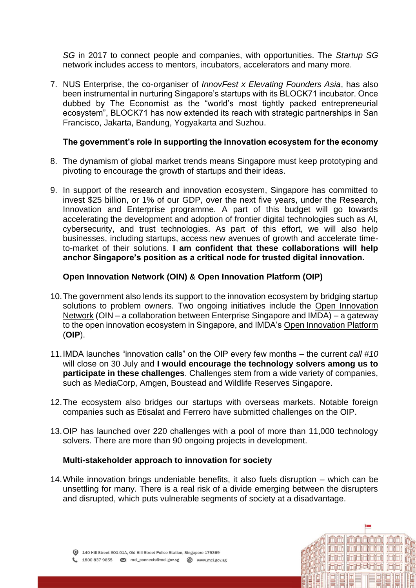*SG* in 2017 to connect people and companies, with opportunities. The *Startup SG*  network includes access to mentors, incubators, accelerators and many more.

7. NUS Enterprise, the co-organiser of *InnovFest x Elevating Founders Asia*, has also been instrumental in nurturing Singapore's startups with its BLOCK71 incubator. Once dubbed by The Economist as the "world's most tightly packed entrepreneurial ecosystem", BLOCK71 has now extended its reach with strategic partnerships in San Francisco, Jakarta, Bandung, Yogyakarta and Suzhou.

# **The government's role in supporting the innovation ecosystem for the economy**

- 8. The dynamism of global market trends means Singapore must keep prototyping and pivoting to encourage the growth of startups and their ideas.
- 9. In support of the research and innovation ecosystem, Singapore has committed to invest \$25 billion, or 1% of our GDP, over the next five years, under the Research, Innovation and Enterprise programme. A part of this budget will go towards accelerating the development and adoption of frontier digital technologies such as AI, cybersecurity, and trust technologies. As part of this effort, we will also help businesses, including startups, access new avenues of growth and accelerate timeto-market of their solutions. **I am confident that these collaborations will help anchor Singapore's position as a critical node for trusted digital innovation.**

# **Open Innovation Network (OIN) & Open Innovation Platform (OIP)**

- 10.The government also lends its support to the innovation ecosystem by bridging startup solutions to problem owners. Two ongoing initiatives include the Open Innovation Network (OIN – a collaboration between Enterprise Singapore and IMDA) – a gateway to the open innovation ecosystem in Singapore, and IMDA's Open Innovation Platform (**OIP**).
- 11.IMDA launches "innovation calls" on the OIP every few months the current *call #10*  will close on 30 July and **I would encourage the technology solvers among us to participate in these challenges**. Challenges stem from a wide variety of companies, such as MediaCorp, Amgen, Boustead and Wildlife Reserves Singapore.
- 12.The ecosystem also bridges our startups with overseas markets. Notable foreign companies such as Etisalat and Ferrero have submitted challenges on the OIP.
- 13.OIP has launched over 220 challenges with a pool of more than 11,000 technology solvers. There are more than 90 ongoing projects in development.

#### **Multi-stakeholder approach to innovation for society**

14.While innovation brings undeniable benefits, it also fuels disruption – which can be unsettling for many. There is a real risk of a divide emerging between the disrupters and disrupted, which puts vulnerable segments of society at a disadvantage.

زلازلازلازلازلاز زلازلاز

ididi idididididi

**问问 问问风句问**